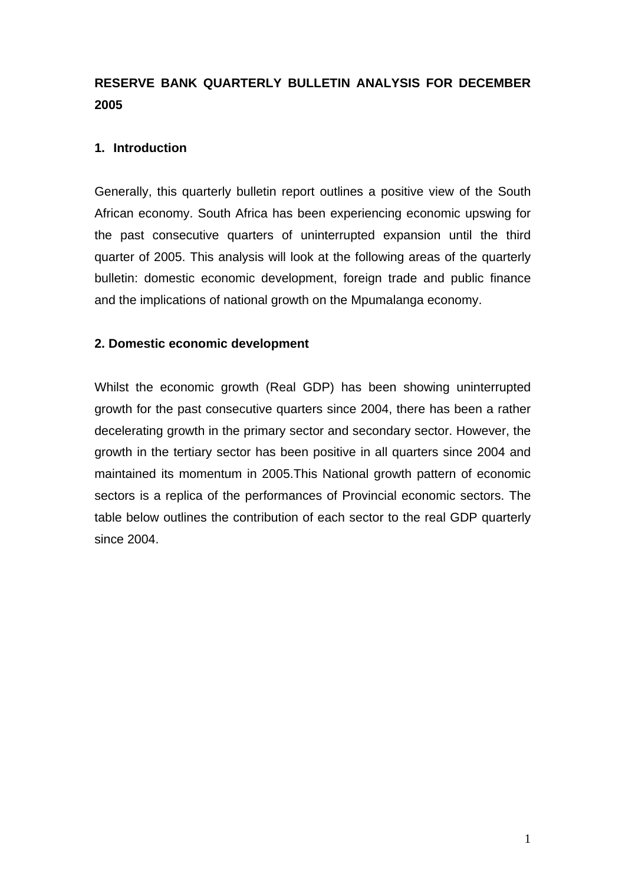# **RESERVE BANK QUARTERLY BULLETIN ANALYSIS FOR DECEMBER 2005**

### **1. Introduction**

Generally, this quarterly bulletin report outlines a positive view of the South African economy. South Africa has been experiencing economic upswing for the past consecutive quarters of uninterrupted expansion until the third quarter of 2005. This analysis will look at the following areas of the quarterly bulletin: domestic economic development, foreign trade and public finance and the implications of national growth on the Mpumalanga economy.

#### **2. Domestic economic development**

Whilst the economic growth (Real GDP) has been showing uninterrupted growth for the past consecutive quarters since 2004, there has been a rather decelerating growth in the primary sector and secondary sector. However, the growth in the tertiary sector has been positive in all quarters since 2004 and maintained its momentum in 2005.This National growth pattern of economic sectors is a replica of the performances of Provincial economic sectors. The table below outlines the contribution of each sector to the real GDP quarterly since 2004.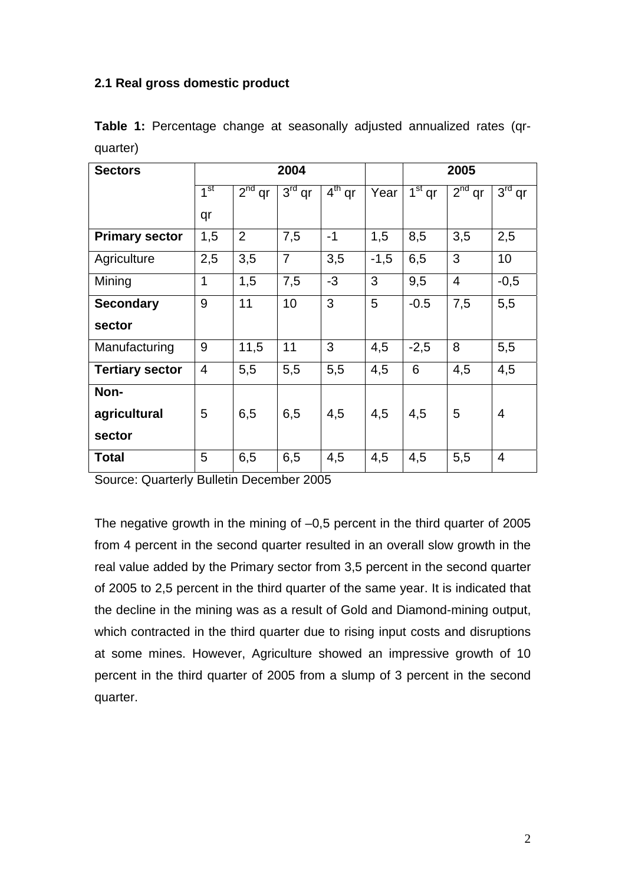#### **2.1 Real gross domestic product**

| <b>Sectors</b>         | 2004            |                |                |          | 2005   |          |                |          |
|------------------------|-----------------|----------------|----------------|----------|--------|----------|----------------|----------|
|                        | 1 <sup>st</sup> | $2nd$ qr       | $3rd$ qr       | $4th$ qr | Year   | $1st$ qr | $2nd$ qr       | $3rd$ qr |
|                        | qr              |                |                |          |        |          |                |          |
| <b>Primary sector</b>  | 1,5             | $\overline{2}$ | 7,5            | $-1$     | 1,5    | 8,5      | 3,5            | 2,5      |
| Agriculture            | 2,5             | 3,5            | $\overline{7}$ | 3,5      | $-1,5$ | 6,5      | 3              | 10       |
| Mining                 | 1               | 1,5            | 7,5            | $-3$     | 3      | 9,5      | $\overline{4}$ | $-0,5$   |
| <b>Secondary</b>       | 9               | 11             | 10             | 3        | 5      | $-0.5$   | 7,5            | 5,5      |
| sector                 |                 |                |                |          |        |          |                |          |
| Manufacturing          | 9               | 11,5           | 11             | 3        | 4,5    | $-2,5$   | 8              | 5,5      |
| <b>Tertiary sector</b> | $\overline{4}$  | 5,5            | 5,5            | 5,5      | 4,5    | 6        | 4,5            | 4,5      |
| Non-                   |                 |                |                |          |        |          |                |          |
| agricultural           | 5               | 6,5            | 6,5            | 4,5      | 4,5    | 4,5      | 5              | 4        |
| sector                 |                 |                |                |          |        |          |                |          |
| <b>Total</b>           | 5               | 6,5            | 6,5            | 4,5      | 4,5    | 4,5      | 5,5            | 4        |

**Table 1:** Percentage change at seasonally adjusted annualized rates (qrquarter)

Source: Quarterly Bulletin December 2005

The negative growth in the mining of –0,5 percent in the third quarter of 2005 from 4 percent in the second quarter resulted in an overall slow growth in the real value added by the Primary sector from 3,5 percent in the second quarter of 2005 to 2,5 percent in the third quarter of the same year. It is indicated that the decline in the mining was as a result of Gold and Diamond-mining output, which contracted in the third quarter due to rising input costs and disruptions at some mines. However, Agriculture showed an impressive growth of 10 percent in the third quarter of 2005 from a slump of 3 percent in the second quarter.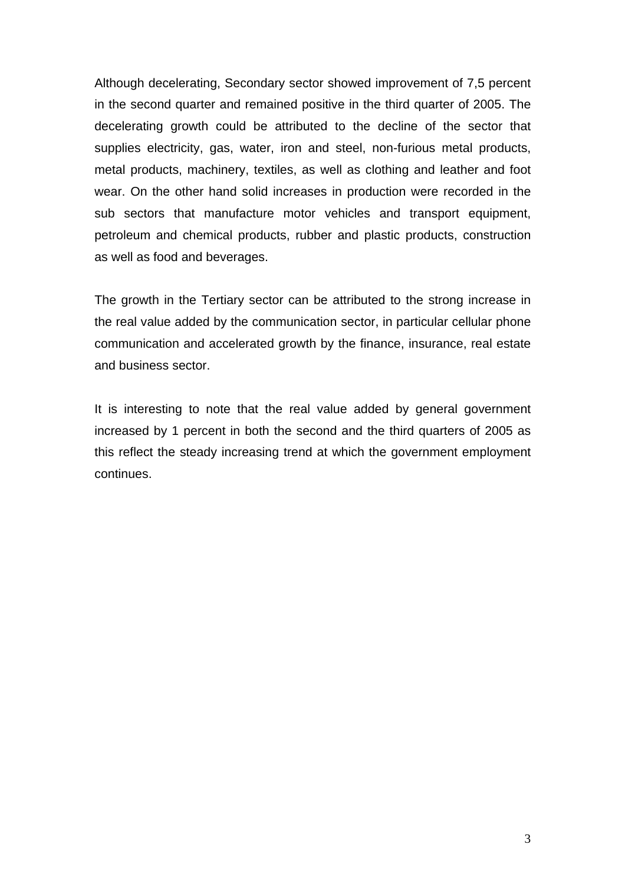Although decelerating, Secondary sector showed improvement of 7,5 percent in the second quarter and remained positive in the third quarter of 2005. The decelerating growth could be attributed to the decline of the sector that supplies electricity, gas, water, iron and steel, non-furious metal products, metal products, machinery, textiles, as well as clothing and leather and foot wear. On the other hand solid increases in production were recorded in the sub sectors that manufacture motor vehicles and transport equipment, petroleum and chemical products, rubber and plastic products, construction as well as food and beverages.

The growth in the Tertiary sector can be attributed to the strong increase in the real value added by the communication sector, in particular cellular phone communication and accelerated growth by the finance, insurance, real estate and business sector.

It is interesting to note that the real value added by general government increased by 1 percent in both the second and the third quarters of 2005 as this reflect the steady increasing trend at which the government employment continues.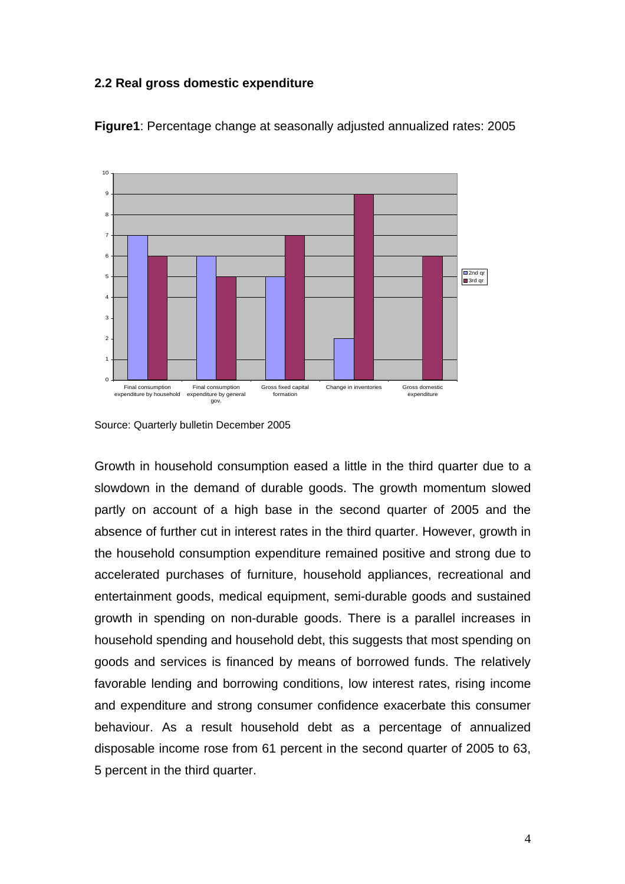#### **2.2 Real gross domestic expenditure**



**Figure1**: Percentage change at seasonally adjusted annualized rates: 2005

Growth in household consumption eased a little in the third quarter due to a slowdown in the demand of durable goods. The growth momentum slowed partly on account of a high base in the second quarter of 2005 and the absence of further cut in interest rates in the third quarter. However, growth in the household consumption expenditure remained positive and strong due to accelerated purchases of furniture, household appliances, recreational and entertainment goods, medical equipment, semi-durable goods and sustained growth in spending on non-durable goods. There is a parallel increases in household spending and household debt, this suggests that most spending on goods and services is financed by means of borrowed funds. The relatively favorable lending and borrowing conditions, low interest rates, rising income and expenditure and strong consumer confidence exacerbate this consumer behaviour. As a result household debt as a percentage of annualized disposable income rose from 61 percent in the second quarter of 2005 to 63, 5 percent in the third quarter.

Source: Quarterly bulletin December 2005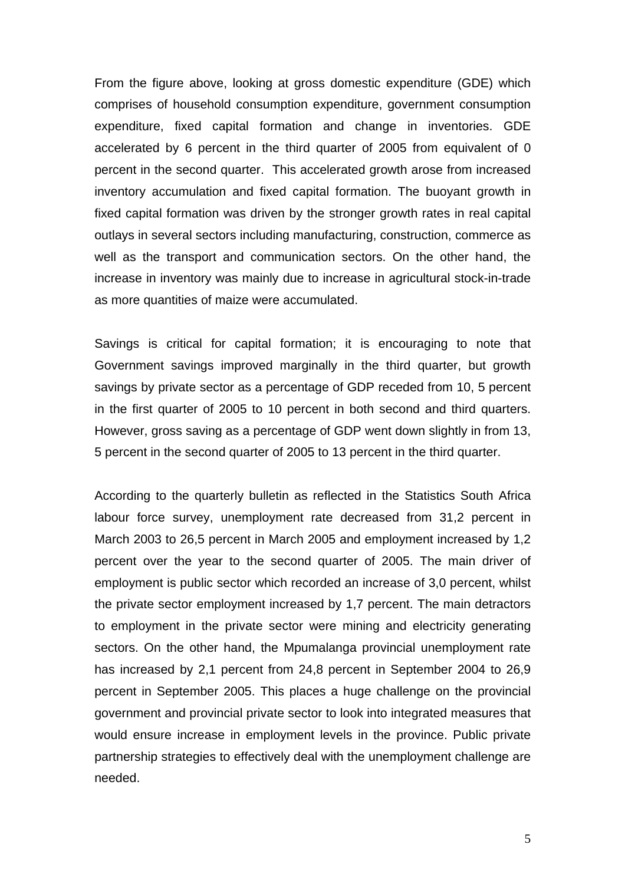From the figure above, looking at gross domestic expenditure (GDE) which comprises of household consumption expenditure, government consumption expenditure, fixed capital formation and change in inventories. GDE accelerated by 6 percent in the third quarter of 2005 from equivalent of 0 percent in the second quarter. This accelerated growth arose from increased inventory accumulation and fixed capital formation. The buoyant growth in fixed capital formation was driven by the stronger growth rates in real capital outlays in several sectors including manufacturing, construction, commerce as well as the transport and communication sectors. On the other hand, the increase in inventory was mainly due to increase in agricultural stock-in-trade as more quantities of maize were accumulated.

Savings is critical for capital formation; it is encouraging to note that Government savings improved marginally in the third quarter, but growth savings by private sector as a percentage of GDP receded from 10, 5 percent in the first quarter of 2005 to 10 percent in both second and third quarters. However, gross saving as a percentage of GDP went down slightly in from 13, 5 percent in the second quarter of 2005 to 13 percent in the third quarter.

According to the quarterly bulletin as reflected in the Statistics South Africa labour force survey, unemployment rate decreased from 31,2 percent in March 2003 to 26,5 percent in March 2005 and employment increased by 1,2 percent over the year to the second quarter of 2005. The main driver of employment is public sector which recorded an increase of 3,0 percent, whilst the private sector employment increased by 1,7 percent. The main detractors to employment in the private sector were mining and electricity generating sectors. On the other hand, the Mpumalanga provincial unemployment rate has increased by 2,1 percent from 24,8 percent in September 2004 to 26,9 percent in September 2005. This places a huge challenge on the provincial government and provincial private sector to look into integrated measures that would ensure increase in employment levels in the province. Public private partnership strategies to effectively deal with the unemployment challenge are needed.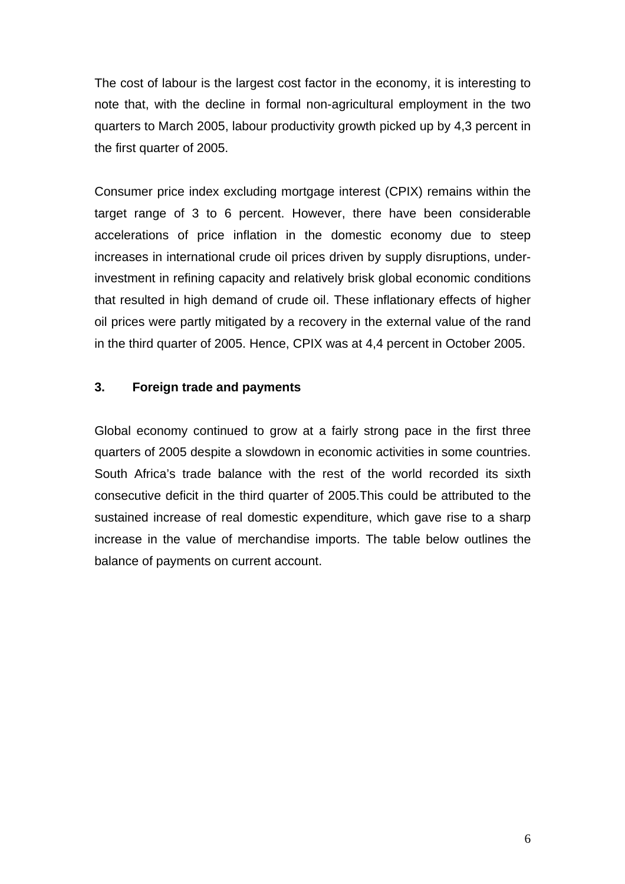The cost of labour is the largest cost factor in the economy, it is interesting to note that, with the decline in formal non-agricultural employment in the two quarters to March 2005, labour productivity growth picked up by 4,3 percent in the first quarter of 2005.

Consumer price index excluding mortgage interest (CPIX) remains within the target range of 3 to 6 percent. However, there have been considerable accelerations of price inflation in the domestic economy due to steep increases in international crude oil prices driven by supply disruptions, underinvestment in refining capacity and relatively brisk global economic conditions that resulted in high demand of crude oil. These inflationary effects of higher oil prices were partly mitigated by a recovery in the external value of the rand in the third quarter of 2005. Hence, CPIX was at 4,4 percent in October 2005.

#### **3. Foreign trade and payments**

Global economy continued to grow at a fairly strong pace in the first three quarters of 2005 despite a slowdown in economic activities in some countries. South Africa's trade balance with the rest of the world recorded its sixth consecutive deficit in the third quarter of 2005.This could be attributed to the sustained increase of real domestic expenditure, which gave rise to a sharp increase in the value of merchandise imports. The table below outlines the balance of payments on current account.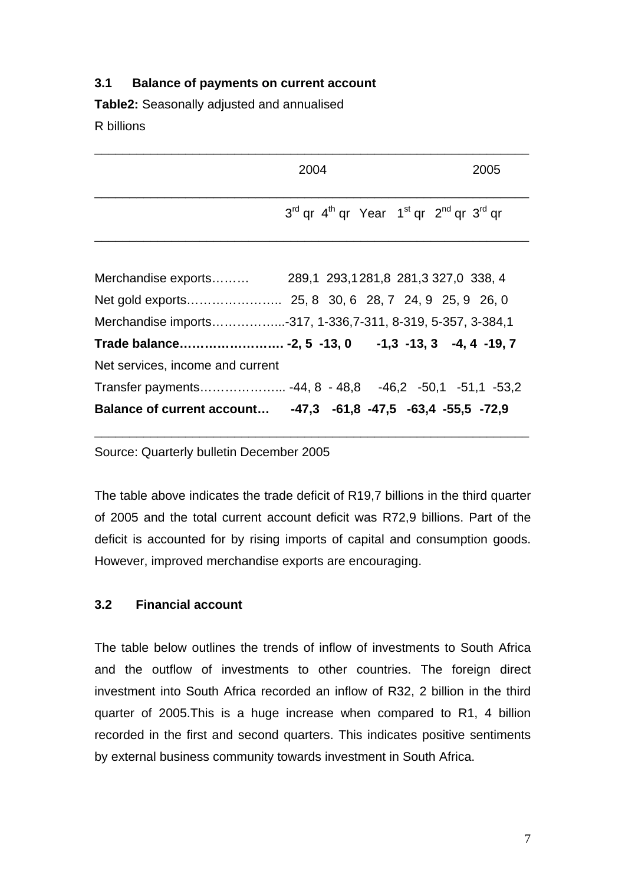## **3.1 Balance of payments on current account**

**Table2:** Seasonally adjusted and annualised

R billions

| 2004                                                                                                | 2005 |
|-----------------------------------------------------------------------------------------------------|------|
| 3 <sup>rd</sup> qr 4 <sup>th</sup> qr Year 1 <sup>st</sup> qr 2 <sup>nd</sup> qr 3 <sup>rd</sup> qr |      |
|                                                                                                     |      |

| Merchandise imports-317, 1-336,7-311, 8-319, 5-357, 3-384,1    |  |  |  |
|----------------------------------------------------------------|--|--|--|
|                                                                |  |  |  |
| Net services, income and current                               |  |  |  |
| Transfer payments -44, 8 - 48,8 -46,2 -50,1 -51,1 -53,2        |  |  |  |
| Balance of current account -47,3 -61,8 -47,5 -63,4 -55,5 -72,9 |  |  |  |

Source: Quarterly bulletin December 2005

The table above indicates the trade deficit of R19,7 billions in the third quarter of 2005 and the total current account deficit was R72,9 billions. Part of the deficit is accounted for by rising imports of capital and consumption goods. However, improved merchandise exports are encouraging.

\_\_\_\_\_\_\_\_\_\_\_\_\_\_\_\_\_\_\_\_\_\_\_\_\_\_\_\_\_\_\_\_\_\_\_\_\_\_\_\_\_\_\_\_\_\_\_\_\_\_\_\_\_\_\_\_\_\_\_\_\_\_

## **3.2 Financial account**

The table below outlines the trends of inflow of investments to South Africa and the outflow of investments to other countries. The foreign direct investment into South Africa recorded an inflow of R32, 2 billion in the third quarter of 2005.This is a huge increase when compared to R1, 4 billion recorded in the first and second quarters. This indicates positive sentiments by external business community towards investment in South Africa.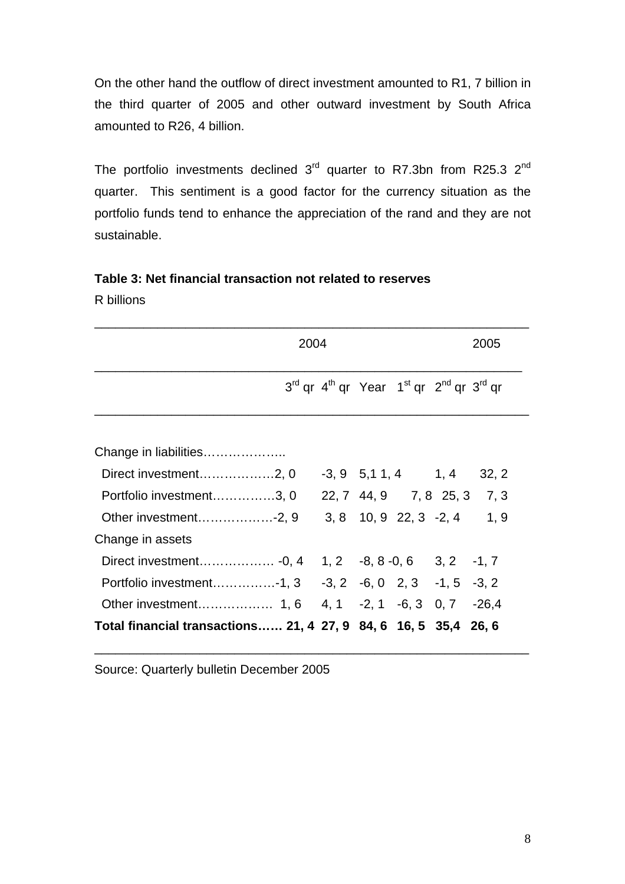On the other hand the outflow of direct investment amounted to R1, 7 billion in the third quarter of 2005 and other outward investment by South Africa amounted to R26, 4 billion.

The portfolio investments declined  $3<sup>rd</sup>$  quarter to R7.3bn from R25.3  $2<sup>nd</sup>$ quarter. This sentiment is a good factor for the currency situation as the portfolio funds tend to enhance the appreciation of the rand and they are not sustainable.

# **Table 3: Net financial transaction not related to reserves**

R billions

|                                                                  | 2004 |                                                                  |  |  |  |
|------------------------------------------------------------------|------|------------------------------------------------------------------|--|--|--|
|                                                                  |      | $3^{rd}$ qr $4^{th}$ qr Year $1^{st}$ qr $2^{nd}$ qr $3^{rd}$ qr |  |  |  |
| Change in liabilities                                            |      |                                                                  |  |  |  |
| Direct investment2, 0                                            |      | $-3, 9$ $5, 11, 4$ $1, 4$ $32, 2$                                |  |  |  |
| Portfolio investment3, 0                                         |      | 22, 7 44, 9 7, 8 25, 3 7, 3                                      |  |  |  |
| Other investment-2, 9                                            |      | $3, 8$ 10, 9 22, 3 -2, 4 1, 9                                    |  |  |  |
| Change in assets                                                 |      |                                                                  |  |  |  |
|                                                                  |      |                                                                  |  |  |  |
| Portfolio investment-1, 3 -3, 2 -6, 0 2, 3 -1, 5 -3, 2           |      |                                                                  |  |  |  |
|                                                                  |      |                                                                  |  |  |  |
| Total financial transactions 21, 4 27, 9 84, 6 16, 5 35, 4 26, 6 |      |                                                                  |  |  |  |

\_\_\_\_\_\_\_\_\_\_\_\_\_\_\_\_\_\_\_\_\_\_\_\_\_\_\_\_\_\_\_\_\_\_\_\_\_\_\_\_\_\_\_\_\_\_\_\_\_\_\_\_\_\_\_\_\_\_\_\_\_\_

Source: Quarterly bulletin December 2005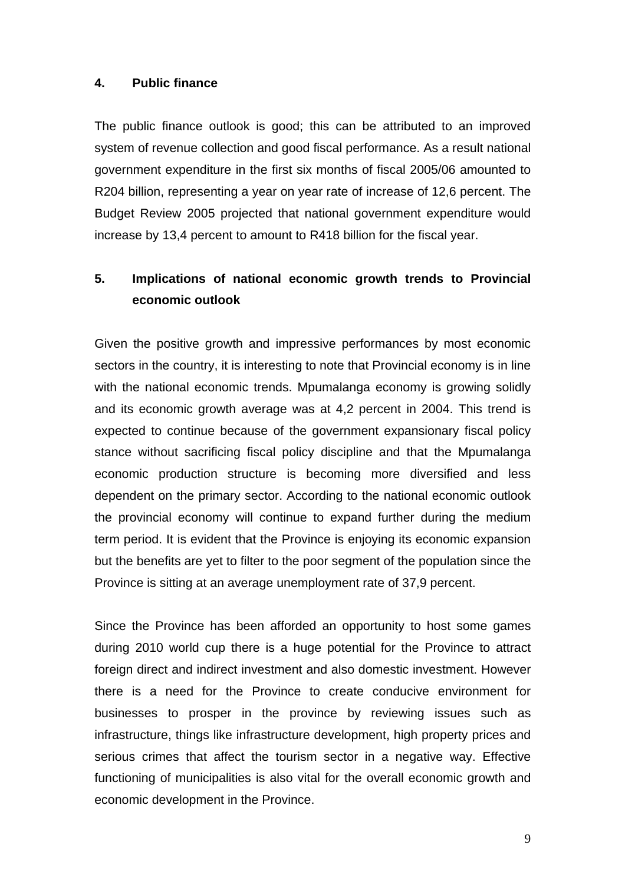#### **4. Public finance**

The public finance outlook is good; this can be attributed to an improved system of revenue collection and good fiscal performance. As a result national government expenditure in the first six months of fiscal 2005/06 amounted to R204 billion, representing a year on year rate of increase of 12,6 percent. The Budget Review 2005 projected that national government expenditure would increase by 13,4 percent to amount to R418 billion for the fiscal year.

# **5. Implications of national economic growth trends to Provincial economic outlook**

Given the positive growth and impressive performances by most economic sectors in the country, it is interesting to note that Provincial economy is in line with the national economic trends. Mpumalanga economy is growing solidly and its economic growth average was at 4,2 percent in 2004. This trend is expected to continue because of the government expansionary fiscal policy stance without sacrificing fiscal policy discipline and that the Mpumalanga economic production structure is becoming more diversified and less dependent on the primary sector. According to the national economic outlook the provincial economy will continue to expand further during the medium term period. It is evident that the Province is enjoying its economic expansion but the benefits are yet to filter to the poor segment of the population since the Province is sitting at an average unemployment rate of 37,9 percent.

Since the Province has been afforded an opportunity to host some games during 2010 world cup there is a huge potential for the Province to attract foreign direct and indirect investment and also domestic investment. However there is a need for the Province to create conducive environment for businesses to prosper in the province by reviewing issues such as infrastructure, things like infrastructure development, high property prices and serious crimes that affect the tourism sector in a negative way. Effective functioning of municipalities is also vital for the overall economic growth and economic development in the Province.